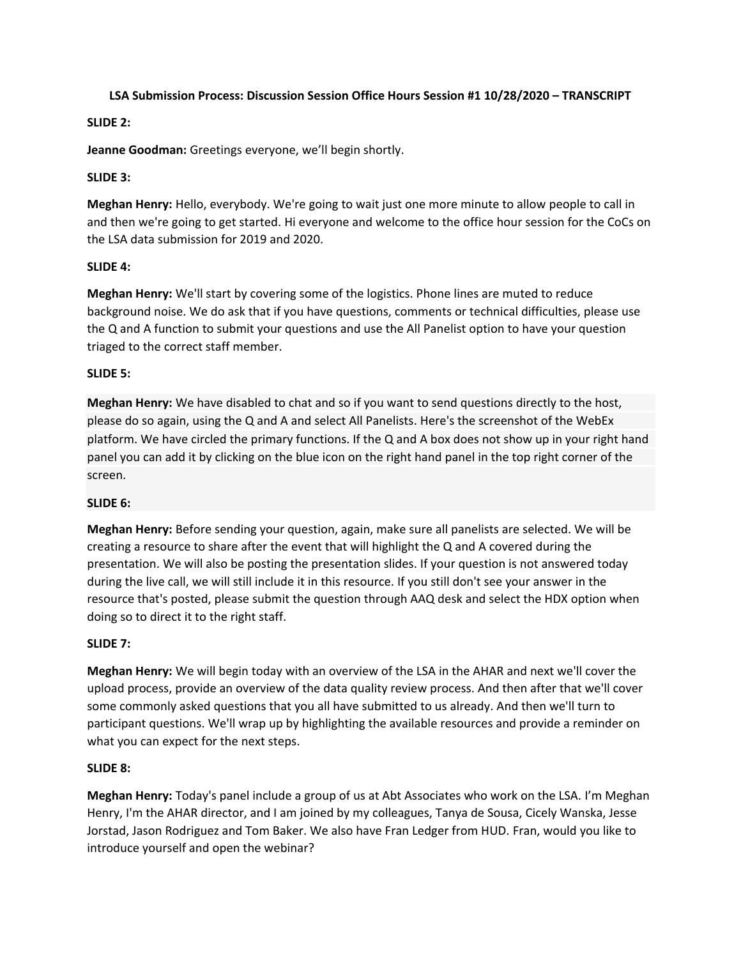### **LSA Submission Process: Discussion Session Office Hours Session #1 10/28/2020 – TRANSCRIPT**

## **SLIDE 2:**

**Jeanne Goodman:** Greetings everyone, we'll begin shortly.

## **SLIDE 3:**

**Meghan Henry:** Hello, everybody. We're going to wait just one more minute to allow people to call in and then we're going to get started. Hi everyone and welcome to the office hour session for the CoCs on the LSA data submission for 2019 and 2020.

## **SLIDE 4:**

**Meghan Henry:** We'll start by covering some of the logistics. Phone lines are muted to reduce background noise. We do ask that if you have questions, comments or technical difficulties, please use the Q and A function to submit your questions and use the All Panelist option to have your question triaged to the correct staff member.

## **SLIDE 5:**

**Meghan Henry:** We have disabled to chat and so if you want to send questions directly to the host, please do so again, using the Q and A and select All Panelists. Here's the screenshot of the WebEx platform. We have circled the primary functions. If the Q and A box does not show up in your right hand panel you can add it by clicking on the blue icon on the right hand panel in the top right corner of the screen.

### **SLIDE 6:**

**Meghan Henry:** Before sending your question, again, make sure all panelists are selected. We will be creating a resource to share after the event that will highlight the Q and A covered during the presentation. We will also be posting the presentation slides. If your question is not answered today during the live call, we will still include it in this resource. If you still don't see your answer in the resource that's posted, please submit the question through AAQ desk and select the HDX option when doing so to direct it to the right staff.

### **SLIDE 7:**

**Meghan Henry:** We will begin today with an overview of the LSA in the AHAR and next we'll cover the upload process, provide an overview of the data quality review process. And then after that we'll cover some commonly asked questions that you all have submitted to us already. And then we'll turn to participant questions. We'll wrap up by highlighting the available resources and provide a reminder on what you can expect for the next steps.

# **SLIDE 8:**

**Meghan Henry:** Today's panel include a group of us at Abt Associates who work on the LSA. I'm Meghan Henry, I'm the AHAR director, and I am joined by my colleagues, Tanya de Sousa, Cicely Wanska, Jesse Jorstad, Jason Rodriguez and Tom Baker. We also have Fran Ledger from HUD. Fran, would you like to introduce yourself and open the webinar?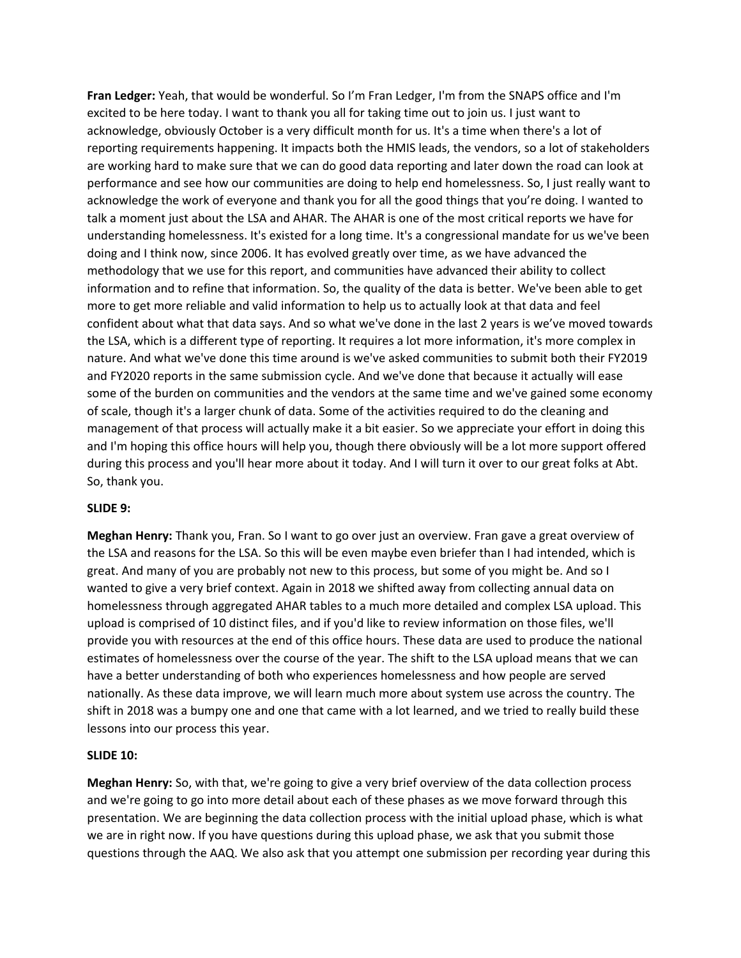**Fran Ledger:** Yeah, that would be wonderful. So I'm Fran Ledger, I'm from the SNAPS office and I'm excited to be here today. I want to thank you all for taking time out to join us. I just want to acknowledge, obviously October is a very difficult month for us. It's a time when there's a lot of reporting requirements happening. It impacts both the HMIS leads, the vendors, so a lot of stakeholders are working hard to make sure that we can do good data reporting and later down the road can look at performance and see how our communities are doing to help end homelessness. So, I just really want to acknowledge the work of everyone and thank you for all the good things that you're doing. I wanted to talk a moment just about the LSA and AHAR. The AHAR is one of the most critical reports we have for understanding homelessness. It's existed for a long time. It's a congressional mandate for us we've been doing and I think now, since 2006. It has evolved greatly over time, as we have advanced the methodology that we use for this report, and communities have advanced their ability to collect information and to refine that information. So, the quality of the data is better. We've been able to get more to get more reliable and valid information to help us to actually look at that data and feel confident about what that data says. And so what we've done in the last 2 years is we've moved towards the LSA, which is a different type of reporting. It requires a lot more information, it's more complex in nature. And what we've done this time around is we've asked communities to submit both their FY2019 and FY2020 reports in the same submission cycle. And we've done that because it actually will ease some of the burden on communities and the vendors at the same time and we've gained some economy of scale, though it's a larger chunk of data. Some of the activities required to do the cleaning and management of that process will actually make it a bit easier. So we appreciate your effort in doing this and I'm hoping this office hours will help you, though there obviously will be a lot more support offered during this process and you'll hear more about it today. And I will turn it over to our great folks at Abt. So, thank you.

### **SLIDE 9:**

**Meghan Henry:** Thank you, Fran. So I want to go over just an overview. Fran gave a great overview of the LSA and reasons for the LSA. So this will be even maybe even briefer than I had intended, which is great. And many of you are probably not new to this process, but some of you might be. And so I wanted to give a very brief context. Again in 2018 we shifted away from collecting annual data on homelessness through aggregated AHAR tables to a much more detailed and complex LSA upload. This upload is comprised of 10 distinct files, and if you'd like to review information on those files, we'll provide you with resources at the end of this office hours. These data are used to produce the national estimates of homelessness over the course of the year. The shift to the LSA upload means that we can have a better understanding of both who experiences homelessness and how people are served nationally. As these data improve, we will learn much more about system use across the country. The shift in 2018 was a bumpy one and one that came with a lot learned, and we tried to really build these lessons into our process this year.

#### **SLIDE 10:**

**Meghan Henry:** So, with that, we're going to give a very brief overview of the data collection process and we're going to go into more detail about each of these phases as we move forward through this presentation. We are beginning the data collection process with the initial upload phase, which is what we are in right now. If you have questions during this upload phase, we ask that you submit those questions through the AAQ. We also ask that you attempt one submission per recording year during this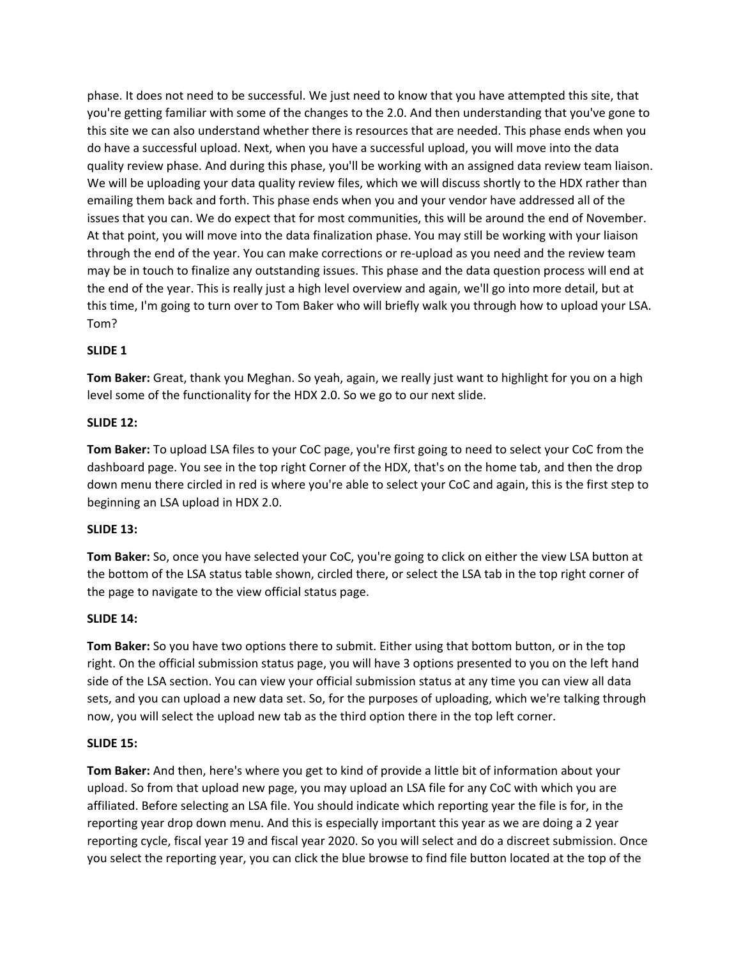phase. It does not need to be successful. We just need to know that you have attempted this site, that you're getting familiar with some of the changes to the 2.0. And then understanding that you've gone to this site we can also understand whether there is resources that are needed. This phase ends when you do have a successful upload. Next, when you have a successful upload, you will move into the data quality review phase. And during this phase, you'll be working with an assigned data review team liaison. We will be uploading your data quality review files, which we will discuss shortly to the HDX rather than emailing them back and forth. This phase ends when you and your vendor have addressed all of the issues that you can. We do expect that for most communities, this will be around the end of November. At that point, you will move into the data finalization phase. You may still be working with your liaison through the end of the year. You can make corrections or re-upload as you need and the review team may be in touch to finalize any outstanding issues. This phase and the data question process will end at the end of the year. This is really just a high level overview and again, we'll go into more detail, but at this time, I'm going to turn over to Tom Baker who will briefly walk you through how to upload your LSA. Tom?

# **SLIDE 1**

**Tom Baker:** Great, thank you Meghan. So yeah, again, we really just want to highlight for you on a high level some of the functionality for the HDX 2.0. So we go to our next slide.

#### **SLIDE 12:**

**Tom Baker:** To upload LSA files to your CoC page, you're first going to need to select your CoC from the dashboard page. You see in the top right Corner of the HDX, that's on the home tab, and then the drop down menu there circled in red is where you're able to select your CoC and again, this is the first step to beginning an LSA upload in HDX 2.0.

### **SLIDE 13:**

**Tom Baker:** So, once you have selected your CoC, you're going to click on either the view LSA button at the bottom of the LSA status table shown, circled there, or select the LSA tab in the top right corner of the page to navigate to the view official status page.

#### **SLIDE 14:**

**Tom Baker:** So you have two options there to submit. Either using that bottom button, or in the top right. On the official submission status page, you will have 3 options presented to you on the left hand side of the LSA section. You can view your official submission status at any time you can view all data sets, and you can upload a new data set. So, for the purposes of uploading, which we're talking through now, you will select the upload new tab as the third option there in the top left corner.

#### **SLIDE 15:**

**Tom Baker:** And then, here's where you get to kind of provide a little bit of information about your upload. So from that upload new page, you may upload an LSA file for any CoC with which you are affiliated. Before selecting an LSA file. You should indicate which reporting year the file is for, in the reporting year drop down menu. And this is especially important this year as we are doing a 2 year reporting cycle, fiscal year 19 and fiscal year 2020. So you will select and do a discreet submission. Once you select the reporting year, you can click the blue browse to find file button located at the top of the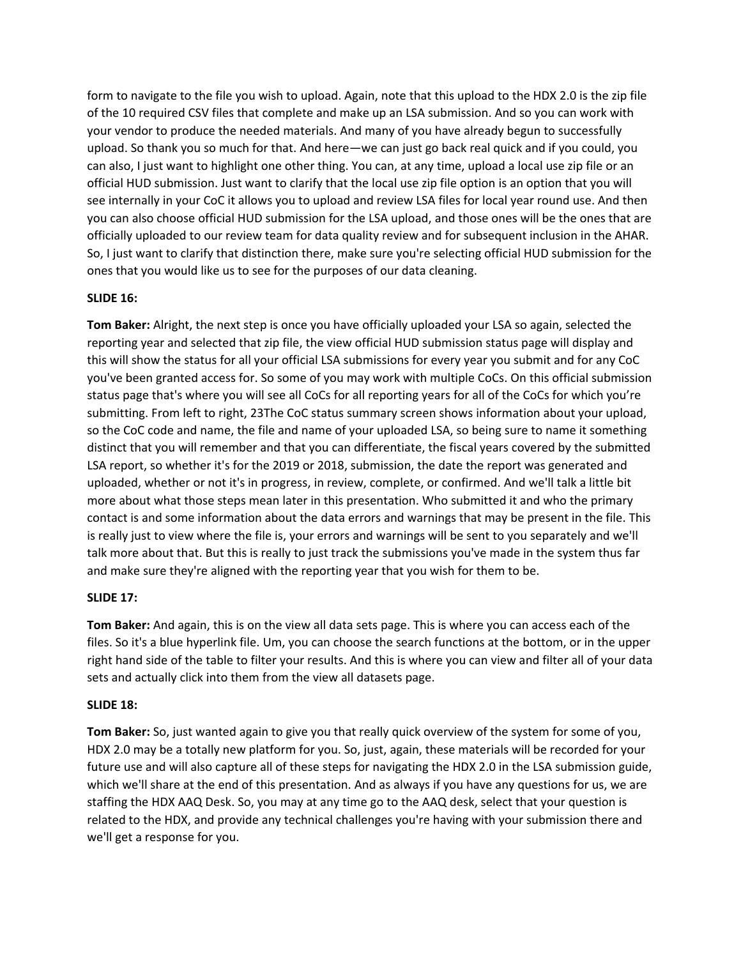form to navigate to the file you wish to upload. Again, note that this upload to the HDX 2.0 is the zip file of the 10 required CSV files that complete and make up an LSA submission. And so you can work with your vendor to produce the needed materials. And many of you have already begun to successfully upload. So thank you so much for that. And here—we can just go back real quick and if you could, you can also, I just want to highlight one other thing. You can, at any time, upload a local use zip file or an official HUD submission. Just want to clarify that the local use zip file option is an option that you will see internally in your CoC it allows you to upload and review LSA files for local year round use. And then you can also choose official HUD submission for the LSA upload, and those ones will be the ones that are officially uploaded to our review team for data quality review and for subsequent inclusion in the AHAR. So, I just want to clarify that distinction there, make sure you're selecting official HUD submission for the ones that you would like us to see for the purposes of our data cleaning.

## **SLIDE 16:**

**Tom Baker:** Alright, the next step is once you have officially uploaded your LSA so again, selected the reporting year and selected that zip file, the view official HUD submission status page will display and this will show the status for all your official LSA submissions for every year you submit and for any CoC you've been granted access for. So some of you may work with multiple CoCs. On this official submission status page that's where you will see all CoCs for all reporting years for all of the CoCs for which you're submitting. From left to right, 23The CoC status summary screen shows information about your upload, so the CoC code and name, the file and name of your uploaded LSA, so being sure to name it something distinct that you will remember and that you can differentiate, the fiscal years covered by the submitted LSA report, so whether it's for the 2019 or 2018, submission, the date the report was generated and uploaded, whether or not it's in progress, in review, complete, or confirmed. And we'll talk a little bit more about what those steps mean later in this presentation. Who submitted it and who the primary contact is and some information about the data errors and warnings that may be present in the file. This is really just to view where the file is, your errors and warnings will be sent to you separately and we'll talk more about that. But this is really to just track the submissions you've made in the system thus far and make sure they're aligned with the reporting year that you wish for them to be.

# **SLIDE 17:**

**Tom Baker:** And again, this is on the view all data sets page. This is where you can access each of the files. So it's a blue hyperlink file. Um, you can choose the search functions at the bottom, or in the upper right hand side of the table to filter your results. And this is where you can view and filter all of your data sets and actually click into them from the view all datasets page.

### **SLIDE 18:**

**Tom Baker:** So, just wanted again to give you that really quick overview of the system for some of you, HDX 2.0 may be a totally new platform for you. So, just, again, these materials will be recorded for your future use and will also capture all of these steps for navigating the HDX 2.0 in the LSA submission guide, which we'll share at the end of this presentation. And as always if you have any questions for us, we are staffing the HDX AAQ Desk. So, you may at any time go to the AAQ desk, select that your question is related to the HDX, and provide any technical challenges you're having with your submission there and we'll get a response for you.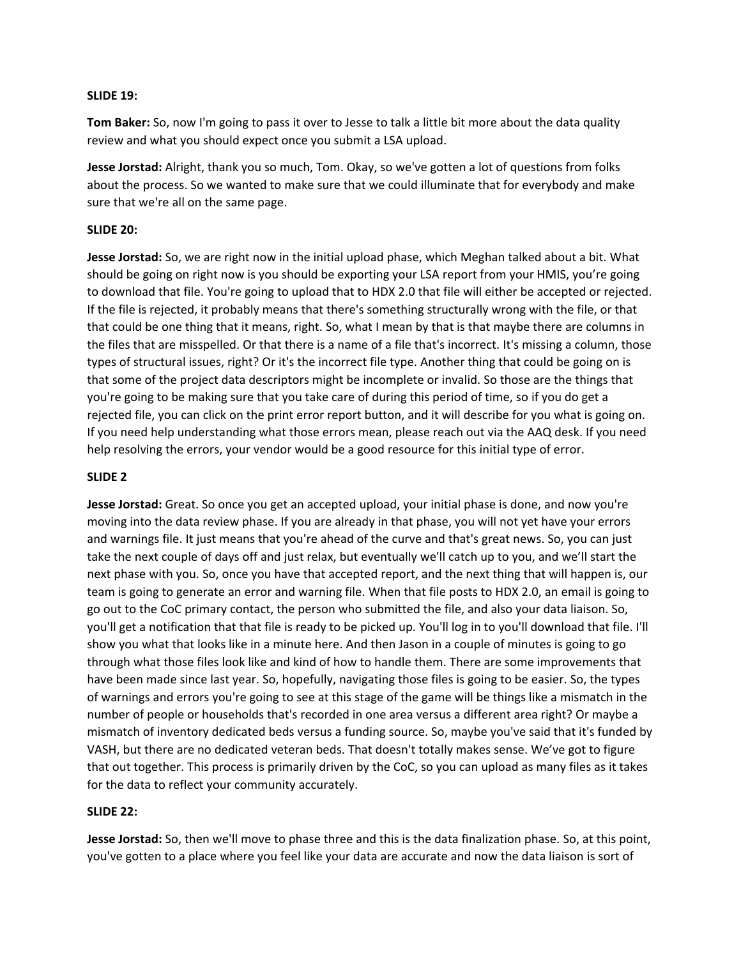#### **SLIDE 19:**

**Tom Baker:** So, now I'm going to pass it over to Jesse to talk a little bit more about the data quality review and what you should expect once you submit a LSA upload.

**Jesse Jorstad:** Alright, thank you so much, Tom. Okay, so we've gotten a lot of questions from folks about the process. So we wanted to make sure that we could illuminate that for everybody and make sure that we're all on the same page.

#### **SLIDE 20:**

**Jesse Jorstad:** So, we are right now in the initial upload phase, which Meghan talked about a bit. What should be going on right now is you should be exporting your LSA report from your HMIS, you're going to download that file. You're going to upload that to HDX 2.0 that file will either be accepted or rejected. If the file is rejected, it probably means that there's something structurally wrong with the file, or that that could be one thing that it means, right. So, what I mean by that is that maybe there are columns in the files that are misspelled. Or that there is a name of a file that's incorrect. It's missing a column, those types of structural issues, right? Or it's the incorrect file type. Another thing that could be going on is that some of the project data descriptors might be incomplete or invalid. So those are the things that you're going to be making sure that you take care of during this period of time, so if you do get a rejected file, you can click on the print error report button, and it will describe for you what is going on. If you need help understanding what those errors mean, please reach out via the AAQ desk. If you need help resolving the errors, your vendor would be a good resource for this initial type of error.

#### **SLIDE 2**

**Jesse Jorstad:** Great. So once you get an accepted upload, your initial phase is done, and now you're moving into the data review phase. If you are already in that phase, you will not yet have your errors and warnings file. It just means that you're ahead of the curve and that's great news. So, you can just take the next couple of days off and just relax, but eventually we'll catch up to you, and we'll start the next phase with you. So, once you have that accepted report, and the next thing that will happen is, our team is going to generate an error and warning file. When that file posts to HDX 2.0, an email is going to go out to the CoC primary contact, the person who submitted the file, and also your data liaison. So, you'll get a notification that that file is ready to be picked up. You'll log in to you'll download that file. I'll show you what that looks like in a minute here. And then Jason in a couple of minutes is going to go through what those files look like and kind of how to handle them. There are some improvements that have been made since last year. So, hopefully, navigating those files is going to be easier. So, the types of warnings and errors you're going to see at this stage of the game will be things like a mismatch in the number of people or households that's recorded in one area versus a different area right? Or maybe a mismatch of inventory dedicated beds versus a funding source. So, maybe you've said that it's funded by VASH, but there are no dedicated veteran beds. That doesn't totally makes sense. We've got to figure that out together. This process is primarily driven by the CoC, so you can upload as many files as it takes for the data to reflect your community accurately.

#### **SLIDE 22:**

**Jesse Jorstad:** So, then we'll move to phase three and this is the data finalization phase. So, at this point, you've gotten to a place where you feel like your data are accurate and now the data liaison is sort of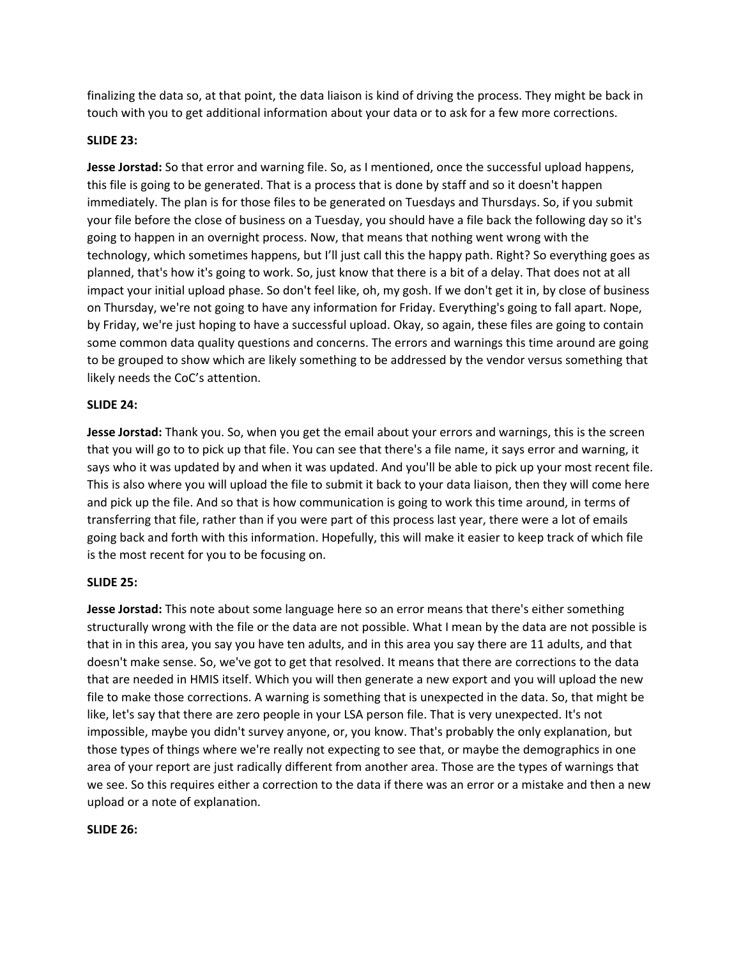finalizing the data so, at that point, the data liaison is kind of driving the process. They might be back in touch with you to get additional information about your data or to ask for a few more corrections.

## **SLIDE 23:**

**Jesse Jorstad:** So that error and warning file. So, as I mentioned, once the successful upload happens, this file is going to be generated. That is a process that is done by staff and so it doesn't happen immediately. The plan is for those files to be generated on Tuesdays and Thursdays. So, if you submit your file before the close of business on a Tuesday, you should have a file back the following day so it's going to happen in an overnight process. Now, that means that nothing went wrong with the technology, which sometimes happens, but I'll just call this the happy path. Right? So everything goes as planned, that's how it's going to work. So, just know that there is a bit of a delay. That does not at all impact your initial upload phase. So don't feel like, oh, my gosh. If we don't get it in, by close of business on Thursday, we're not going to have any information for Friday. Everything's going to fall apart. Nope, by Friday, we're just hoping to have a successful upload. Okay, so again, these files are going to contain some common data quality questions and concerns. The errors and warnings this time around are going to be grouped to show which are likely something to be addressed by the vendor versus something that likely needs the CoC's attention.

### **SLIDE 24:**

**Jesse Jorstad:** Thank you. So, when you get the email about your errors and warnings, this is the screen that you will go to to pick up that file. You can see that there's a file name, it says error and warning, it says who it was updated by and when it was updated. And you'll be able to pick up your most recent file. This is also where you will upload the file to submit it back to your data liaison, then they will come here and pick up the file. And so that is how communication is going to work this time around, in terms of transferring that file, rather than if you were part of this process last year, there were a lot of emails going back and forth with this information. Hopefully, this will make it easier to keep track of which file is the most recent for you to be focusing on.

### **SLIDE 25:**

**Jesse Jorstad:** This note about some language here so an error means that there's either something structurally wrong with the file or the data are not possible. What I mean by the data are not possible is that in in this area, you say you have ten adults, and in this area you say there are 11 adults, and that doesn't make sense. So, we've got to get that resolved. It means that there are corrections to the data that are needed in HMIS itself. Which you will then generate a new export and you will upload the new file to make those corrections. A warning is something that is unexpected in the data. So, that might be like, let's say that there are zero people in your LSA person file. That is very unexpected. It's not impossible, maybe you didn't survey anyone, or, you know. That's probably the only explanation, but those types of things where we're really not expecting to see that, or maybe the demographics in one area of your report are just radically different from another area. Those are the types of warnings that we see. So this requires either a correction to the data if there was an error or a mistake and then a new upload or a note of explanation.

### **SLIDE 26:**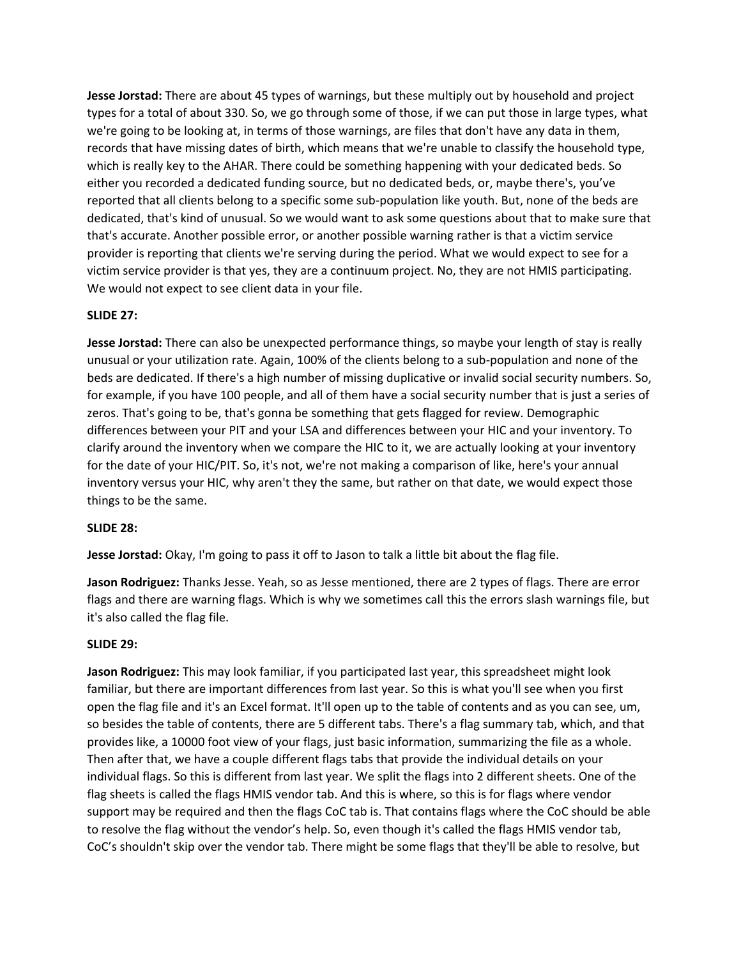**Jesse Jorstad:** There are about 45 types of warnings, but these multiply out by household and project types for a total of about 330. So, we go through some of those, if we can put those in large types, what we're going to be looking at, in terms of those warnings, are files that don't have any data in them, records that have missing dates of birth, which means that we're unable to classify the household type, which is really key to the AHAR. There could be something happening with your dedicated beds. So either you recorded a dedicated funding source, but no dedicated beds, or, maybe there's, you've reported that all clients belong to a specific some sub-population like youth. But, none of the beds are dedicated, that's kind of unusual. So we would want to ask some questions about that to make sure that that's accurate. Another possible error, or another possible warning rather is that a victim service provider is reporting that clients we're serving during the period. What we would expect to see for a victim service provider is that yes, they are a continuum project. No, they are not HMIS participating. We would not expect to see client data in your file.

#### **SLIDE 27:**

**Jesse Jorstad:** There can also be unexpected performance things, so maybe your length of stay is really unusual or your utilization rate. Again, 100% of the clients belong to a sub-population and none of the beds are dedicated. If there's a high number of missing duplicative or invalid social security numbers. So, for example, if you have 100 people, and all of them have a social security number that is just a series of zeros. That's going to be, that's gonna be something that gets flagged for review. Demographic differences between your PIT and your LSA and differences between your HIC and your inventory. To clarify around the inventory when we compare the HIC to it, we are actually looking at your inventory for the date of your HIC/PIT. So, it's not, we're not making a comparison of like, here's your annual inventory versus your HIC, why aren't they the same, but rather on that date, we would expect those things to be the same.

#### **SLIDE 28:**

**Jesse Jorstad:** Okay, I'm going to pass it off to Jason to talk a little bit about the flag file.

**Jason Rodriguez:** Thanks Jesse. Yeah, so as Jesse mentioned, there are 2 types of flags. There are error flags and there are warning flags. Which is why we sometimes call this the errors slash warnings file, but it's also called the flag file.

#### **SLIDE 29:**

**Jason Rodriguez:** This may look familiar, if you participated last year, this spreadsheet might look familiar, but there are important differences from last year. So this is what you'll see when you first open the flag file and it's an Excel format. It'll open up to the table of contents and as you can see, um, so besides the table of contents, there are 5 different tabs. There's a flag summary tab, which, and that provides like, a 10000 foot view of your flags, just basic information, summarizing the file as a whole. Then after that, we have a couple different flags tabs that provide the individual details on your individual flags. So this is different from last year. We split the flags into 2 different sheets. One of the flag sheets is called the flags HMIS vendor tab. And this is where, so this is for flags where vendor support may be required and then the flags CoC tab is. That contains flags where the CoC should be able to resolve the flag without the vendor's help. So, even though it's called the flags HMIS vendor tab, CoC's shouldn't skip over the vendor tab. There might be some flags that they'll be able to resolve, but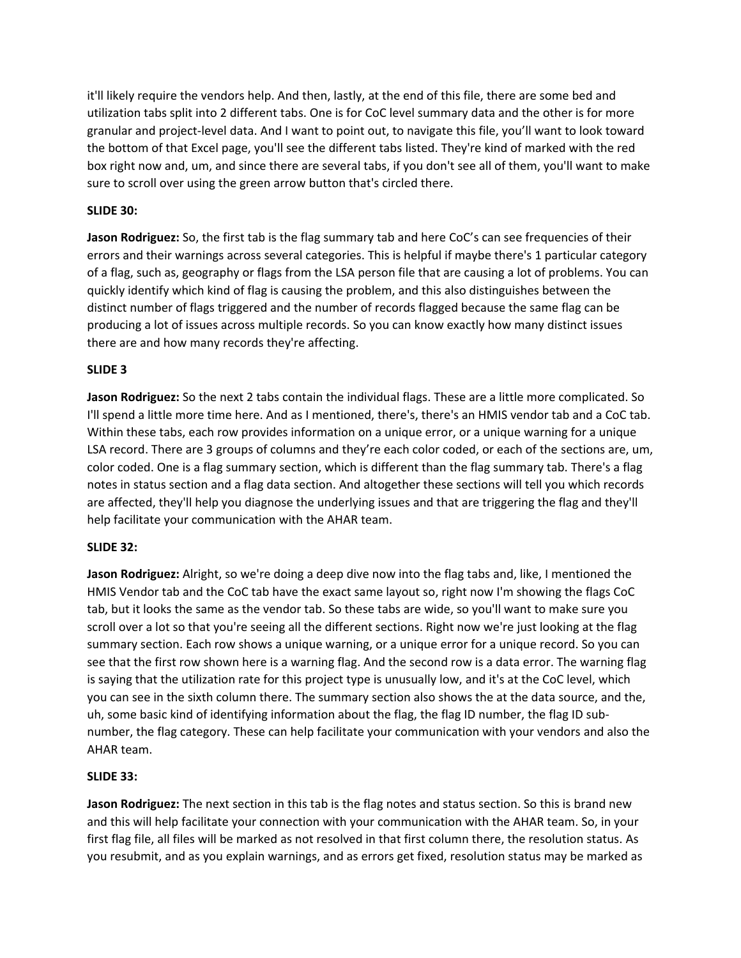it'll likely require the vendors help. And then, lastly, at the end of this file, there are some bed and utilization tabs split into 2 different tabs. One is for CoC level summary data and the other is for more granular and project-level data. And I want to point out, to navigate this file, you'll want to look toward the bottom of that Excel page, you'll see the different tabs listed. They're kind of marked with the red box right now and, um, and since there are several tabs, if you don't see all of them, you'll want to make sure to scroll over using the green arrow button that's circled there.

### **SLIDE 30:**

**Jason Rodriguez:** So, the first tab is the flag summary tab and here CoC's can see frequencies of their errors and their warnings across several categories. This is helpful if maybe there's 1 particular category of a flag, such as, geography or flags from the LSA person file that are causing a lot of problems. You can quickly identify which kind of flag is causing the problem, and this also distinguishes between the distinct number of flags triggered and the number of records flagged because the same flag can be producing a lot of issues across multiple records. So you can know exactly how many distinct issues there are and how many records they're affecting.

#### **SLIDE 3**

**Jason Rodriguez:** So the next 2 tabs contain the individual flags. These are a little more complicated. So I'll spend a little more time here. And as I mentioned, there's, there's an HMIS vendor tab and a CoC tab. Within these tabs, each row provides information on a unique error, or a unique warning for a unique LSA record. There are 3 groups of columns and they're each color coded, or each of the sections are, um, color coded. One is a flag summary section, which is different than the flag summary tab. There's a flag notes in status section and a flag data section. And altogether these sections will tell you which records are affected, they'll help you diagnose the underlying issues and that are triggering the flag and they'll help facilitate your communication with the AHAR team.

#### **SLIDE 32:**

**Jason Rodriguez:** Alright, so we're doing a deep dive now into the flag tabs and, like, I mentioned the HMIS Vendor tab and the CoC tab have the exact same layout so, right now I'm showing the flags CoC tab, but it looks the same as the vendor tab. So these tabs are wide, so you'll want to make sure you scroll over a lot so that you're seeing all the different sections. Right now we're just looking at the flag summary section. Each row shows a unique warning, or a unique error for a unique record. So you can see that the first row shown here is a warning flag. And the second row is a data error. The warning flag is saying that the utilization rate for this project type is unusually low, and it's at the CoC level, which you can see in the sixth column there. The summary section also shows the at the data source, and the, uh, some basic kind of identifying information about the flag, the flag ID number, the flag ID subnumber, the flag category. These can help facilitate your communication with your vendors and also the AHAR team.

#### **SLIDE 33:**

**Jason Rodriguez:** The next section in this tab is the flag notes and status section. So this is brand new and this will help facilitate your connection with your communication with the AHAR team. So, in your first flag file, all files will be marked as not resolved in that first column there, the resolution status. As you resubmit, and as you explain warnings, and as errors get fixed, resolution status may be marked as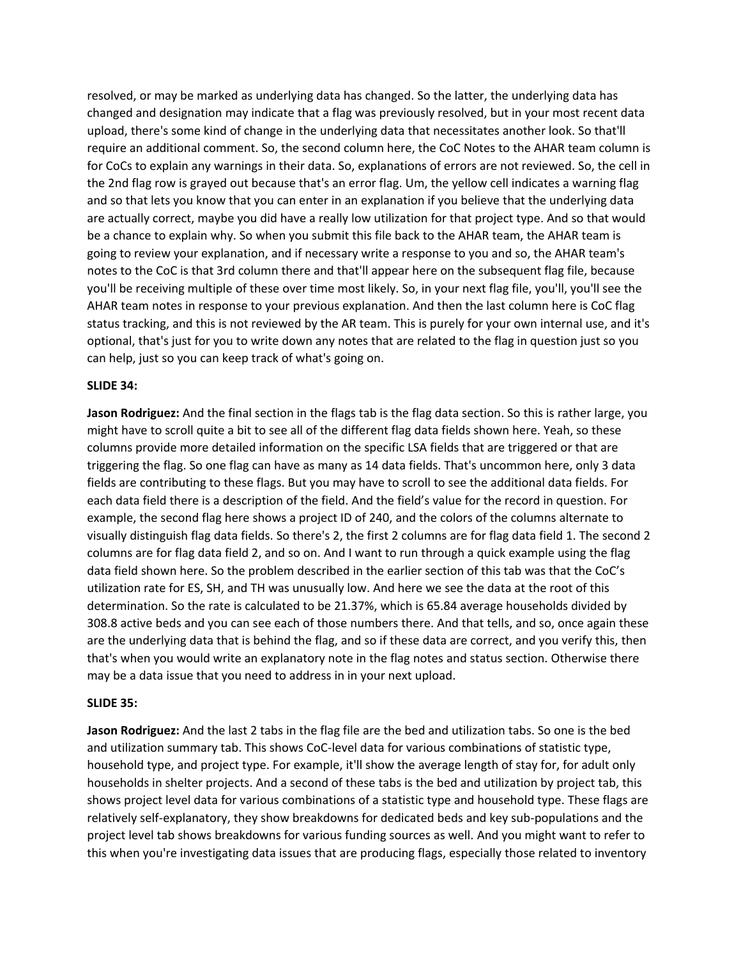resolved, or may be marked as underlying data has changed. So the latter, the underlying data has changed and designation may indicate that a flag was previously resolved, but in your most recent data upload, there's some kind of change in the underlying data that necessitates another look. So that'll require an additional comment. So, the second column here, the CoC Notes to the AHAR team column is for CoCs to explain any warnings in their data. So, explanations of errors are not reviewed. So, the cell in the 2nd flag row is grayed out because that's an error flag. Um, the yellow cell indicates a warning flag and so that lets you know that you can enter in an explanation if you believe that the underlying data are actually correct, maybe you did have a really low utilization for that project type. And so that would be a chance to explain why. So when you submit this file back to the AHAR team, the AHAR team is going to review your explanation, and if necessary write a response to you and so, the AHAR team's notes to the CoC is that 3rd column there and that'll appear here on the subsequent flag file, because you'll be receiving multiple of these over time most likely. So, in your next flag file, you'll, you'll see the AHAR team notes in response to your previous explanation. And then the last column here is CoC flag status tracking, and this is not reviewed by the AR team. This is purely for your own internal use, and it's optional, that's just for you to write down any notes that are related to the flag in question just so you can help, just so you can keep track of what's going on.

#### **SLIDE 34:**

**Jason Rodriguez:** And the final section in the flags tab is the flag data section. So this is rather large, you might have to scroll quite a bit to see all of the different flag data fields shown here. Yeah, so these columns provide more detailed information on the specific LSA fields that are triggered or that are triggering the flag. So one flag can have as many as 14 data fields. That's uncommon here, only 3 data fields are contributing to these flags. But you may have to scroll to see the additional data fields. For each data field there is a description of the field. And the field's value for the record in question. For example, the second flag here shows a project ID of 240, and the colors of the columns alternate to visually distinguish flag data fields. So there's 2, the first 2 columns are for flag data field 1. The second 2 columns are for flag data field 2, and so on. And I want to run through a quick example using the flag data field shown here. So the problem described in the earlier section of this tab was that the CoC's utilization rate for ES, SH, and TH was unusually low. And here we see the data at the root of this determination. So the rate is calculated to be 21.37%, which is 65.84 average households divided by 308.8 active beds and you can see each of those numbers there. And that tells, and so, once again these are the underlying data that is behind the flag, and so if these data are correct, and you verify this, then that's when you would write an explanatory note in the flag notes and status section. Otherwise there may be a data issue that you need to address in in your next upload.

#### **SLIDE 35:**

**Jason Rodriguez:** And the last 2 tabs in the flag file are the bed and utilization tabs. So one is the bed and utilization summary tab. This shows CoC-level data for various combinations of statistic type, household type, and project type. For example, it'll show the average length of stay for, for adult only households in shelter projects. And a second of these tabs is the bed and utilization by project tab, this shows project level data for various combinations of a statistic type and household type. These flags are relatively self-explanatory, they show breakdowns for dedicated beds and key sub-populations and the project level tab shows breakdowns for various funding sources as well. And you might want to refer to this when you're investigating data issues that are producing flags, especially those related to inventory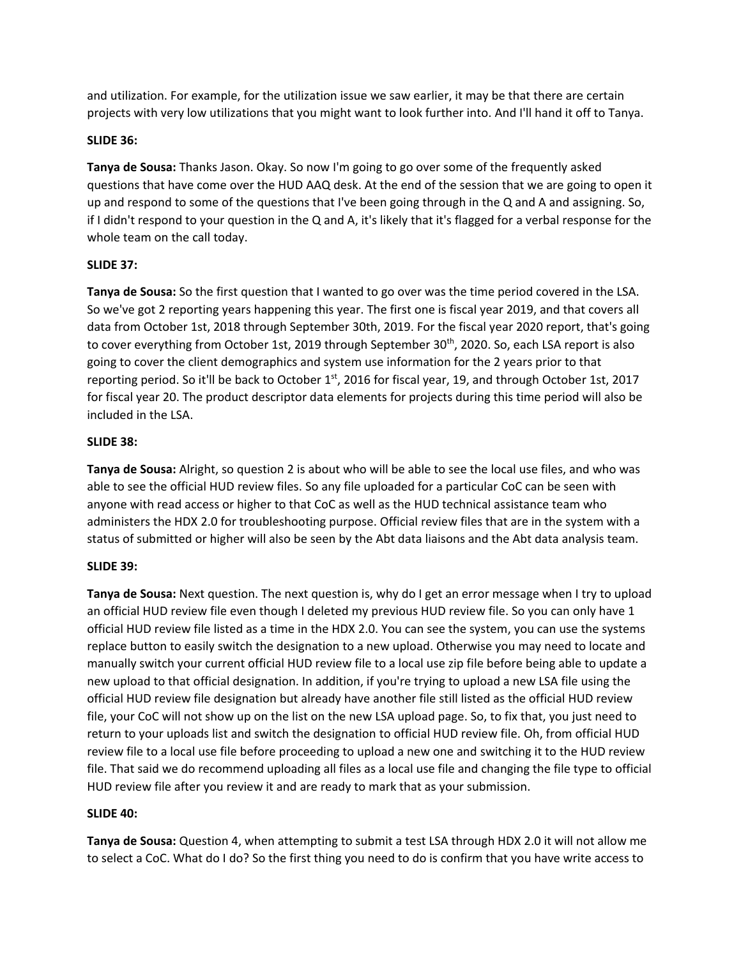and utilization. For example, for the utilization issue we saw earlier, it may be that there are certain projects with very low utilizations that you might want to look further into. And I'll hand it off to Tanya.

## **SLIDE 36:**

**Tanya de Sousa:** Thanks Jason. Okay. So now I'm going to go over some of the frequently asked questions that have come over the HUD AAQ desk. At the end of the session that we are going to open it up and respond to some of the questions that I've been going through in the Q and A and assigning. So, if I didn't respond to your question in the Q and A, it's likely that it's flagged for a verbal response for the whole team on the call today.

### **SLIDE 37:**

**Tanya de Sousa:** So the first question that I wanted to go over was the time period covered in the LSA. So we've got 2 reporting years happening this year. The first one is fiscal year 2019, and that covers all data from October 1st, 2018 through September 30th, 2019. For the fiscal year 2020 report, that's going to cover everything from October 1st, 2019 through September 30<sup>th</sup>, 2020. So, each LSA report is also going to cover the client demographics and system use information for the 2 years prior to that reporting period. So it'll be back to October 1st, 2016 for fiscal year, 19, and through October 1st, 2017 for fiscal year 20. The product descriptor data elements for projects during this time period will also be included in the LSA.

## **SLIDE 38:**

**Tanya de Sousa:** Alright, so question 2 is about who will be able to see the local use files, and who was able to see the official HUD review files. So any file uploaded for a particular CoC can be seen with anyone with read access or higher to that CoC as well as the HUD technical assistance team who administers the HDX 2.0 for troubleshooting purpose. Official review files that are in the system with a status of submitted or higher will also be seen by the Abt data liaisons and the Abt data analysis team.

# **SLIDE 39:**

**Tanya de Sousa:** Next question. The next question is, why do I get an error message when I try to upload an official HUD review file even though I deleted my previous HUD review file. So you can only have 1 official HUD review file listed as a time in the HDX 2.0. You can see the system, you can use the systems replace button to easily switch the designation to a new upload. Otherwise you may need to locate and manually switch your current official HUD review file to a local use zip file before being able to update a new upload to that official designation. In addition, if you're trying to upload a new LSA file using the official HUD review file designation but already have another file still listed as the official HUD review file, your CoC will not show up on the list on the new LSA upload page. So, to fix that, you just need to return to your uploads list and switch the designation to official HUD review file. Oh, from official HUD review file to a local use file before proceeding to upload a new one and switching it to the HUD review file. That said we do recommend uploading all files as a local use file and changing the file type to official HUD review file after you review it and are ready to mark that as your submission.

### **SLIDE 40:**

**Tanya de Sousa:** Question 4, when attempting to submit a test LSA through HDX 2.0 it will not allow me to select a CoC. What do I do? So the first thing you need to do is confirm that you have write access to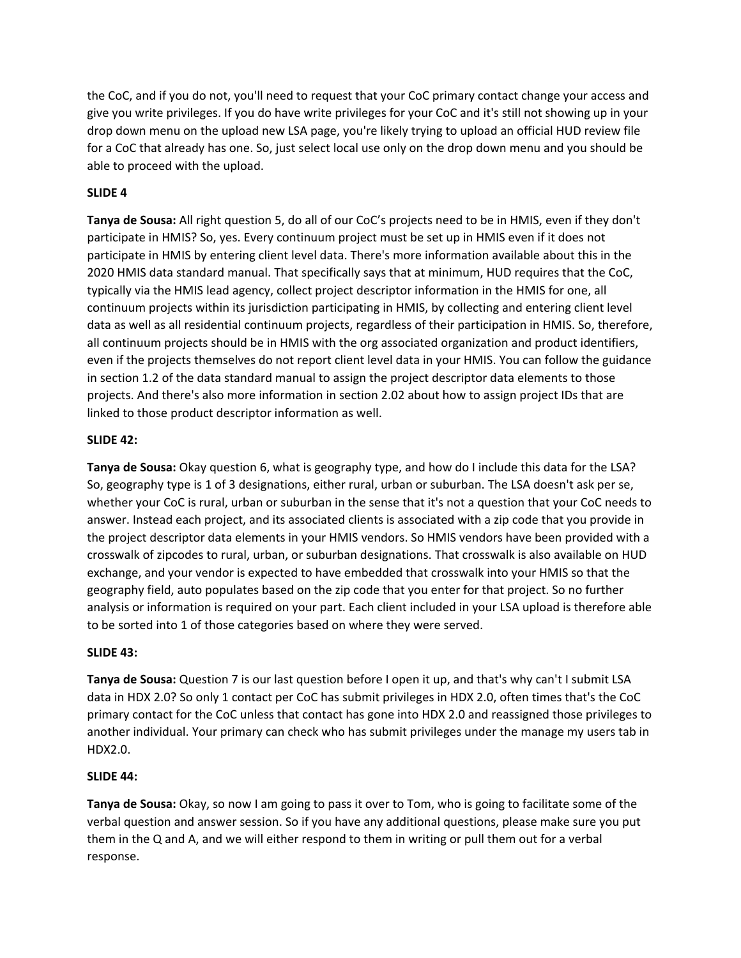the CoC, and if you do not, you'll need to request that your CoC primary contact change your access and give you write privileges. If you do have write privileges for your CoC and it's still not showing up in your drop down menu on the upload new LSA page, you're likely trying to upload an official HUD review file for a CoC that already has one. So, just select local use only on the drop down menu and you should be able to proceed with the upload.

## **SLIDE 4**

**Tanya de Sousa:** All right question 5, do all of our CoC's projects need to be in HMIS, even if they don't participate in HMIS? So, yes. Every continuum project must be set up in HMIS even if it does not participate in HMIS by entering client level data. There's more information available about this in the 2020 HMIS data standard manual. That specifically says that at minimum, HUD requires that the CoC, typically via the HMIS lead agency, collect project descriptor information in the HMIS for one, all continuum projects within its jurisdiction participating in HMIS, by collecting and entering client level data as well as all residential continuum projects, regardless of their participation in HMIS. So, therefore, all continuum projects should be in HMIS with the org associated organization and product identifiers, even if the projects themselves do not report client level data in your HMIS. You can follow the guidance in section 1.2 of the data standard manual to assign the project descriptor data elements to those projects. And there's also more information in section 2.02 about how to assign project IDs that are linked to those product descriptor information as well.

### **SLIDE 42:**

**Tanya de Sousa:** Okay question 6, what is geography type, and how do I include this data for the LSA? So, geography type is 1 of 3 designations, either rural, urban or suburban. The LSA doesn't ask per se, whether your CoC is rural, urban or suburban in the sense that it's not a question that your CoC needs to answer. Instead each project, and its associated clients is associated with a zip code that you provide in the project descriptor data elements in your HMIS vendors. So HMIS vendors have been provided with a crosswalk of zipcodes to rural, urban, or suburban designations. That crosswalk is also available on HUD exchange, and your vendor is expected to have embedded that crosswalk into your HMIS so that the geography field, auto populates based on the zip code that you enter for that project. So no further analysis or information is required on your part. Each client included in your LSA upload is therefore able to be sorted into 1 of those categories based on where they were served.

### **SLIDE 43:**

**Tanya de Sousa:** Question 7 is our last question before I open it up, and that's why can't I submit LSA data in HDX 2.0? So only 1 contact per CoC has submit privileges in HDX 2.0, often times that's the CoC primary contact for the CoC unless that contact has gone into HDX 2.0 and reassigned those privileges to another individual. Your primary can check who has submit privileges under the manage my users tab in HDX2.0.

### **SLIDE 44:**

**Tanya de Sousa:** Okay, so now I am going to pass it over to Tom, who is going to facilitate some of the verbal question and answer session. So if you have any additional questions, please make sure you put them in the Q and A, and we will either respond to them in writing or pull them out for a verbal response.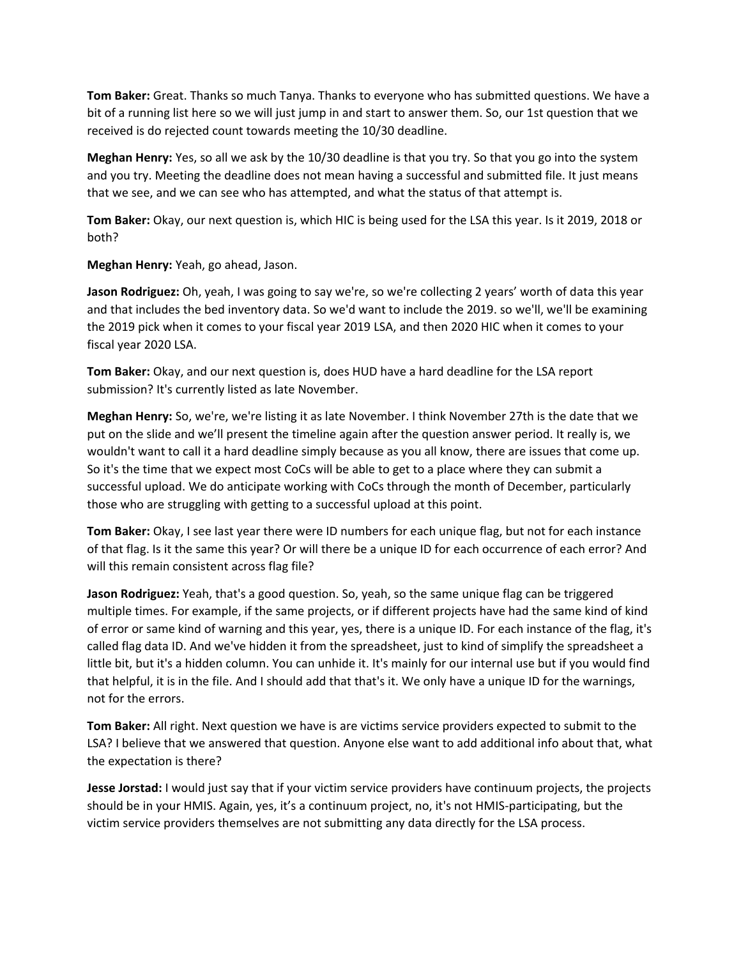**Tom Baker:** Great. Thanks so much Tanya. Thanks to everyone who has submitted questions. We have a bit of a running list here so we will just jump in and start to answer them. So, our 1st question that we received is do rejected count towards meeting the 10/30 deadline.

**Meghan Henry:** Yes, so all we ask by the 10/30 deadline is that you try. So that you go into the system and you try. Meeting the deadline does not mean having a successful and submitted file. It just means that we see, and we can see who has attempted, and what the status of that attempt is.

**Tom Baker:** Okay, our next question is, which HIC is being used for the LSA this year. Is it 2019, 2018 or both?

**Meghan Henry:** Yeah, go ahead, Jason.

**Jason Rodriguez:** Oh, yeah, I was going to say we're, so we're collecting 2 years' worth of data this year and that includes the bed inventory data. So we'd want to include the 2019. so we'll, we'll be examining the 2019 pick when it comes to your fiscal year 2019 LSA, and then 2020 HIC when it comes to your fiscal year 2020 LSA.

**Tom Baker:** Okay, and our next question is, does HUD have a hard deadline for the LSA report submission? It's currently listed as late November.

**Meghan Henry:** So, we're, we're listing it as late November. I think November 27th is the date that we put on the slide and we'll present the timeline again after the question answer period. It really is, we wouldn't want to call it a hard deadline simply because as you all know, there are issues that come up. So it's the time that we expect most CoCs will be able to get to a place where they can submit a successful upload. We do anticipate working with CoCs through the month of December, particularly those who are struggling with getting to a successful upload at this point.

**Tom Baker:** Okay, I see last year there were ID numbers for each unique flag, but not for each instance of that flag. Is it the same this year? Or will there be a unique ID for each occurrence of each error? And will this remain consistent across flag file?

**Jason Rodriguez:** Yeah, that's a good question. So, yeah, so the same unique flag can be triggered multiple times. For example, if the same projects, or if different projects have had the same kind of kind of error or same kind of warning and this year, yes, there is a unique ID. For each instance of the flag, it's called flag data ID. And we've hidden it from the spreadsheet, just to kind of simplify the spreadsheet a little bit, but it's a hidden column. You can unhide it. It's mainly for our internal use but if you would find that helpful, it is in the file. And I should add that that's it. We only have a unique ID for the warnings, not for the errors.

**Tom Baker:** All right. Next question we have is are victims service providers expected to submit to the LSA? I believe that we answered that question. Anyone else want to add additional info about that, what the expectation is there?

**Jesse Jorstad:** I would just say that if your victim service providers have continuum projects, the projects should be in your HMIS. Again, yes, it's a continuum project, no, it's not HMIS-participating, but the victim service providers themselves are not submitting any data directly for the LSA process.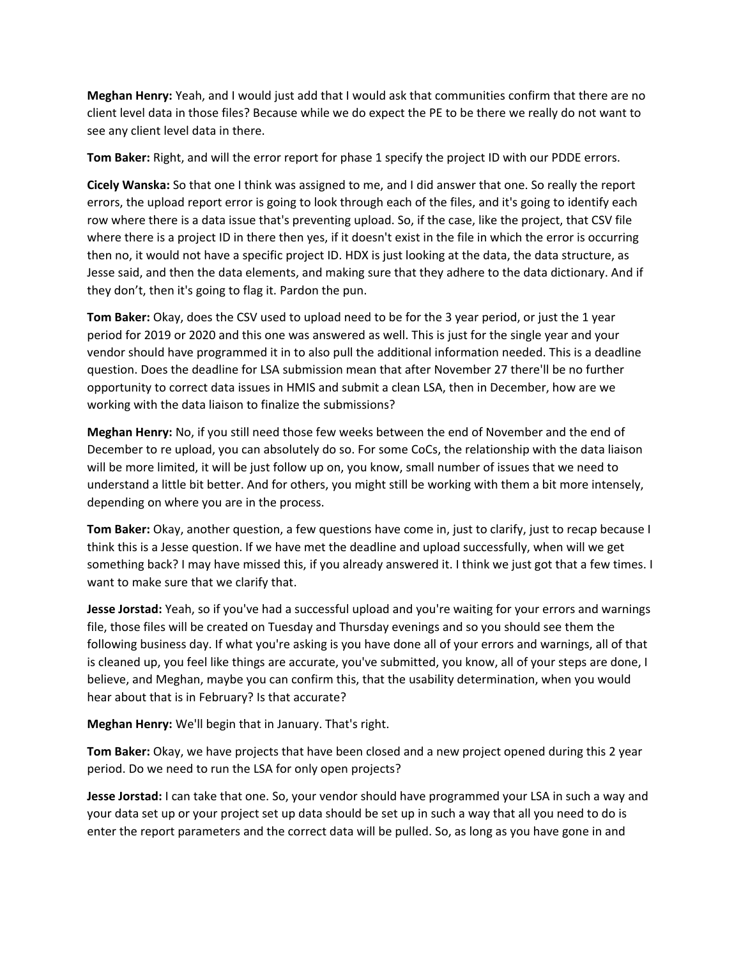**Meghan Henry:** Yeah, and I would just add that I would ask that communities confirm that there are no client level data in those files? Because while we do expect the PE to be there we really do not want to see any client level data in there.

**Tom Baker:** Right, and will the error report for phase 1 specify the project ID with our PDDE errors.

**Cicely Wanska:** So that one I think was assigned to me, and I did answer that one. So really the report errors, the upload report error is going to look through each of the files, and it's going to identify each row where there is a data issue that's preventing upload. So, if the case, like the project, that CSV file where there is a project ID in there then yes, if it doesn't exist in the file in which the error is occurring then no, it would not have a specific project ID. HDX is just looking at the data, the data structure, as Jesse said, and then the data elements, and making sure that they adhere to the data dictionary. And if they don't, then it's going to flag it. Pardon the pun.

**Tom Baker:** Okay, does the CSV used to upload need to be for the 3 year period, or just the 1 year period for 2019 or 2020 and this one was answered as well. This is just for the single year and your vendor should have programmed it in to also pull the additional information needed. This is a deadline question. Does the deadline for LSA submission mean that after November 27 there'll be no further opportunity to correct data issues in HMIS and submit a clean LSA, then in December, how are we working with the data liaison to finalize the submissions?

**Meghan Henry:** No, if you still need those few weeks between the end of November and the end of December to re upload, you can absolutely do so. For some CoCs, the relationship with the data liaison will be more limited, it will be just follow up on, you know, small number of issues that we need to understand a little bit better. And for others, you might still be working with them a bit more intensely, depending on where you are in the process.

**Tom Baker:** Okay, another question, a few questions have come in, just to clarify, just to recap because I think this is a Jesse question. If we have met the deadline and upload successfully, when will we get something back? I may have missed this, if you already answered it. I think we just got that a few times. I want to make sure that we clarify that.

**Jesse Jorstad:** Yeah, so if you've had a successful upload and you're waiting for your errors and warnings file, those files will be created on Tuesday and Thursday evenings and so you should see them the following business day. If what you're asking is you have done all of your errors and warnings, all of that is cleaned up, you feel like things are accurate, you've submitted, you know, all of your steps are done, I believe, and Meghan, maybe you can confirm this, that the usability determination, when you would hear about that is in February? Is that accurate?

**Meghan Henry:** We'll begin that in January. That's right.

**Tom Baker:** Okay, we have projects that have been closed and a new project opened during this 2 year period. Do we need to run the LSA for only open projects?

**Jesse Jorstad:** I can take that one. So, your vendor should have programmed your LSA in such a way and your data set up or your project set up data should be set up in such a way that all you need to do is enter the report parameters and the correct data will be pulled. So, as long as you have gone in and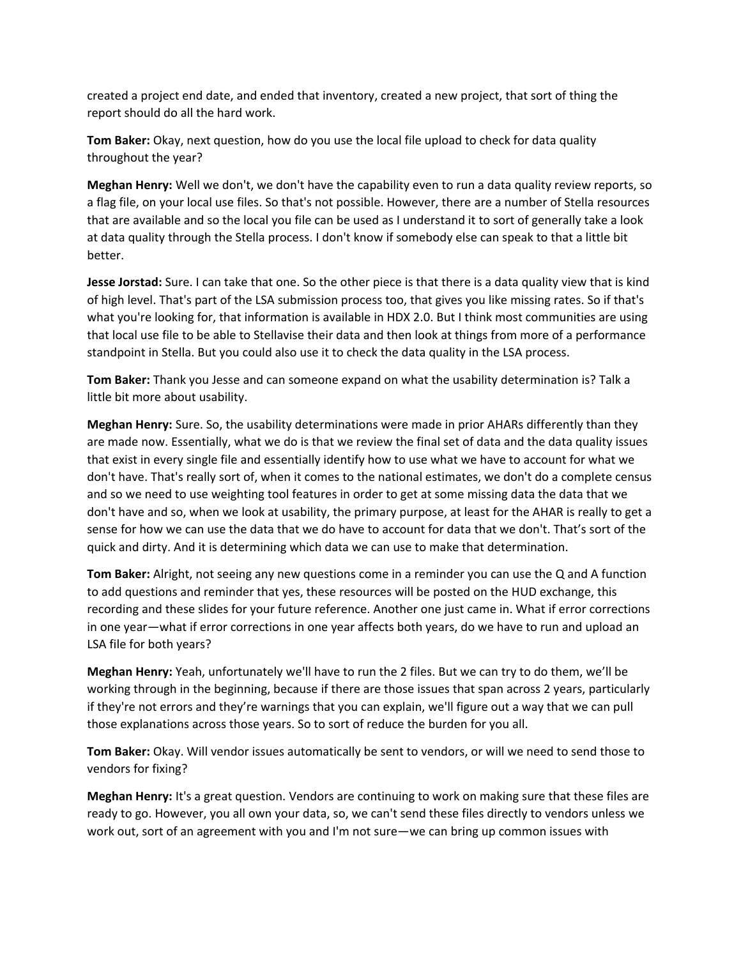created a project end date, and ended that inventory, created a new project, that sort of thing the report should do all the hard work.

**Tom Baker:** Okay, next question, how do you use the local file upload to check for data quality throughout the year?

**Meghan Henry:** Well we don't, we don't have the capability even to run a data quality review reports, so a flag file, on your local use files. So that's not possible. However, there are a number of Stella resources that are available and so the local you file can be used as I understand it to sort of generally take a look at data quality through the Stella process. I don't know if somebody else can speak to that a little bit better.

**Jesse Jorstad:** Sure. I can take that one. So the other piece is that there is a data quality view that is kind of high level. That's part of the LSA submission process too, that gives you like missing rates. So if that's what you're looking for, that information is available in HDX 2.0. But I think most communities are using that local use file to be able to Stellavise their data and then look at things from more of a performance standpoint in Stella. But you could also use it to check the data quality in the LSA process.

**Tom Baker:** Thank you Jesse and can someone expand on what the usability determination is? Talk a little bit more about usability.

**Meghan Henry:** Sure. So, the usability determinations were made in prior AHARs differently than they are made now. Essentially, what we do is that we review the final set of data and the data quality issues that exist in every single file and essentially identify how to use what we have to account for what we don't have. That's really sort of, when it comes to the national estimates, we don't do a complete census and so we need to use weighting tool features in order to get at some missing data the data that we don't have and so, when we look at usability, the primary purpose, at least for the AHAR is really to get a sense for how we can use the data that we do have to account for data that we don't. That's sort of the quick and dirty. And it is determining which data we can use to make that determination.

**Tom Baker:** Alright, not seeing any new questions come in a reminder you can use the Q and A function to add questions and reminder that yes, these resources will be posted on the HUD exchange, this recording and these slides for your future reference. Another one just came in. What if error corrections in one year—what if error corrections in one year affects both years, do we have to run and upload an LSA file for both years?

**Meghan Henry:** Yeah, unfortunately we'll have to run the 2 files. But we can try to do them, we'll be working through in the beginning, because if there are those issues that span across 2 years, particularly if they're not errors and they're warnings that you can explain, we'll figure out a way that we can pull those explanations across those years. So to sort of reduce the burden for you all.

**Tom Baker:** Okay. Will vendor issues automatically be sent to vendors, or will we need to send those to vendors for fixing?

**Meghan Henry:** It's a great question. Vendors are continuing to work on making sure that these files are ready to go. However, you all own your data, so, we can't send these files directly to vendors unless we work out, sort of an agreement with you and I'm not sure—we can bring up common issues with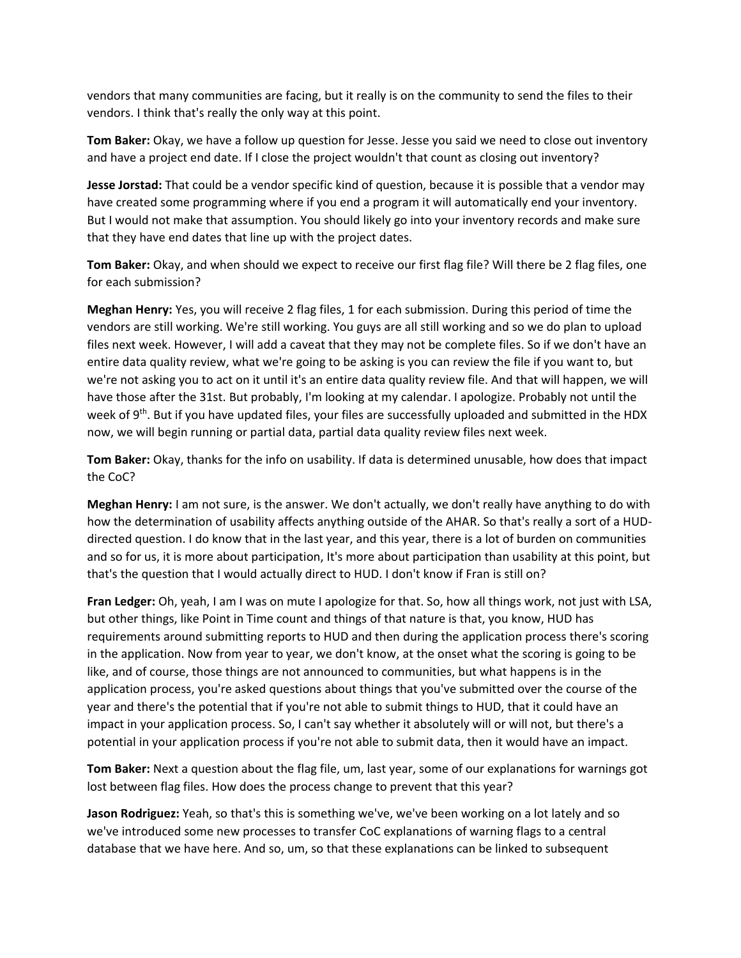vendors that many communities are facing, but it really is on the community to send the files to their vendors. I think that's really the only way at this point.

**Tom Baker:** Okay, we have a follow up question for Jesse. Jesse you said we need to close out inventory and have a project end date. If I close the project wouldn't that count as closing out inventory?

**Jesse Jorstad:** That could be a vendor specific kind of question, because it is possible that a vendor may have created some programming where if you end a program it will automatically end your inventory. But I would not make that assumption. You should likely go into your inventory records and make sure that they have end dates that line up with the project dates.

**Tom Baker:** Okay, and when should we expect to receive our first flag file? Will there be 2 flag files, one for each submission?

**Meghan Henry:** Yes, you will receive 2 flag files, 1 for each submission. During this period of time the vendors are still working. We're still working. You guys are all still working and so we do plan to upload files next week. However, I will add a caveat that they may not be complete files. So if we don't have an entire data quality review, what we're going to be asking is you can review the file if you want to, but we're not asking you to act on it until it's an entire data quality review file. And that will happen, we will have those after the 31st. But probably, I'm looking at my calendar. I apologize. Probably not until the week of 9<sup>th</sup>. But if you have updated files, your files are successfully uploaded and submitted in the HDX now, we will begin running or partial data, partial data quality review files next week.

**Tom Baker:** Okay, thanks for the info on usability. If data is determined unusable, how does that impact the CoC?

**Meghan Henry:** I am not sure, is the answer. We don't actually, we don't really have anything to do with how the determination of usability affects anything outside of the AHAR. So that's really a sort of a HUDdirected question. I do know that in the last year, and this year, there is a lot of burden on communities and so for us, it is more about participation, It's more about participation than usability at this point, but that's the question that I would actually direct to HUD. I don't know if Fran is still on?

**Fran Ledger:** Oh, yeah, I am I was on mute I apologize for that. So, how all things work, not just with LSA, but other things, like Point in Time count and things of that nature is that, you know, HUD has requirements around submitting reports to HUD and then during the application process there's scoring in the application. Now from year to year, we don't know, at the onset what the scoring is going to be like, and of course, those things are not announced to communities, but what happens is in the application process, you're asked questions about things that you've submitted over the course of the year and there's the potential that if you're not able to submit things to HUD, that it could have an impact in your application process. So, I can't say whether it absolutely will or will not, but there's a potential in your application process if you're not able to submit data, then it would have an impact.

**Tom Baker:** Next a question about the flag file, um, last year, some of our explanations for warnings got lost between flag files. How does the process change to prevent that this year?

**Jason Rodriguez:** Yeah, so that's this is something we've, we've been working on a lot lately and so we've introduced some new processes to transfer CoC explanations of warning flags to a central database that we have here. And so, um, so that these explanations can be linked to subsequent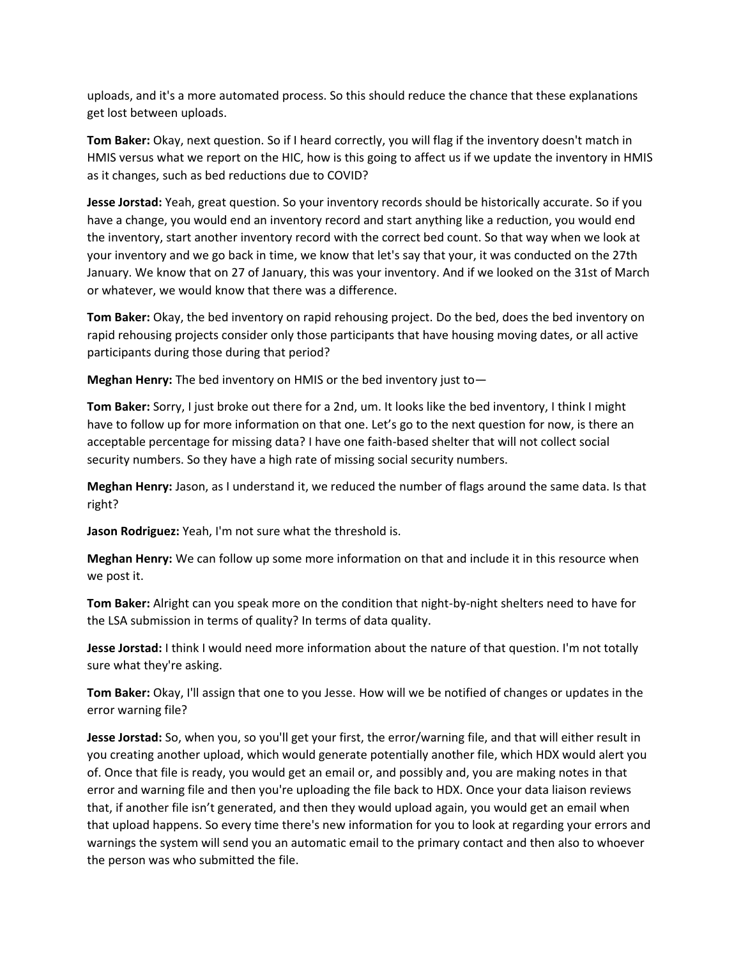uploads, and it's a more automated process. So this should reduce the chance that these explanations get lost between uploads.

**Tom Baker:** Okay, next question. So if I heard correctly, you will flag if the inventory doesn't match in HMIS versus what we report on the HIC, how is this going to affect us if we update the inventory in HMIS as it changes, such as bed reductions due to COVID?

**Jesse Jorstad:** Yeah, great question. So your inventory records should be historically accurate. So if you have a change, you would end an inventory record and start anything like a reduction, you would end the inventory, start another inventory record with the correct bed count. So that way when we look at your inventory and we go back in time, we know that let's say that your, it was conducted on the 27th January. We know that on 27 of January, this was your inventory. And if we looked on the 31st of March or whatever, we would know that there was a difference.

**Tom Baker:** Okay, the bed inventory on rapid rehousing project. Do the bed, does the bed inventory on rapid rehousing projects consider only those participants that have housing moving dates, or all active participants during those during that period?

**Meghan Henry:** The bed inventory on HMIS or the bed inventory just to—

**Tom Baker:** Sorry, I just broke out there for a 2nd, um. It looks like the bed inventory, I think I might have to follow up for more information on that one. Let's go to the next question for now, is there an acceptable percentage for missing data? I have one faith-based shelter that will not collect social security numbers. So they have a high rate of missing social security numbers.

**Meghan Henry:** Jason, as I understand it, we reduced the number of flags around the same data. Is that right?

**Jason Rodriguez:** Yeah, I'm not sure what the threshold is.

**Meghan Henry:** We can follow up some more information on that and include it in this resource when we post it.

**Tom Baker:** Alright can you speak more on the condition that night-by-night shelters need to have for the LSA submission in terms of quality? In terms of data quality.

**Jesse Jorstad:** I think I would need more information about the nature of that question. I'm not totally sure what they're asking.

**Tom Baker:** Okay, I'll assign that one to you Jesse. How will we be notified of changes or updates in the error warning file?

**Jesse Jorstad:** So, when you, so you'll get your first, the error/warning file, and that will either result in you creating another upload, which would generate potentially another file, which HDX would alert you of. Once that file is ready, you would get an email or, and possibly and, you are making notes in that error and warning file and then you're uploading the file back to HDX. Once your data liaison reviews that, if another file isn't generated, and then they would upload again, you would get an email when that upload happens. So every time there's new information for you to look at regarding your errors and warnings the system will send you an automatic email to the primary contact and then also to whoever the person was who submitted the file.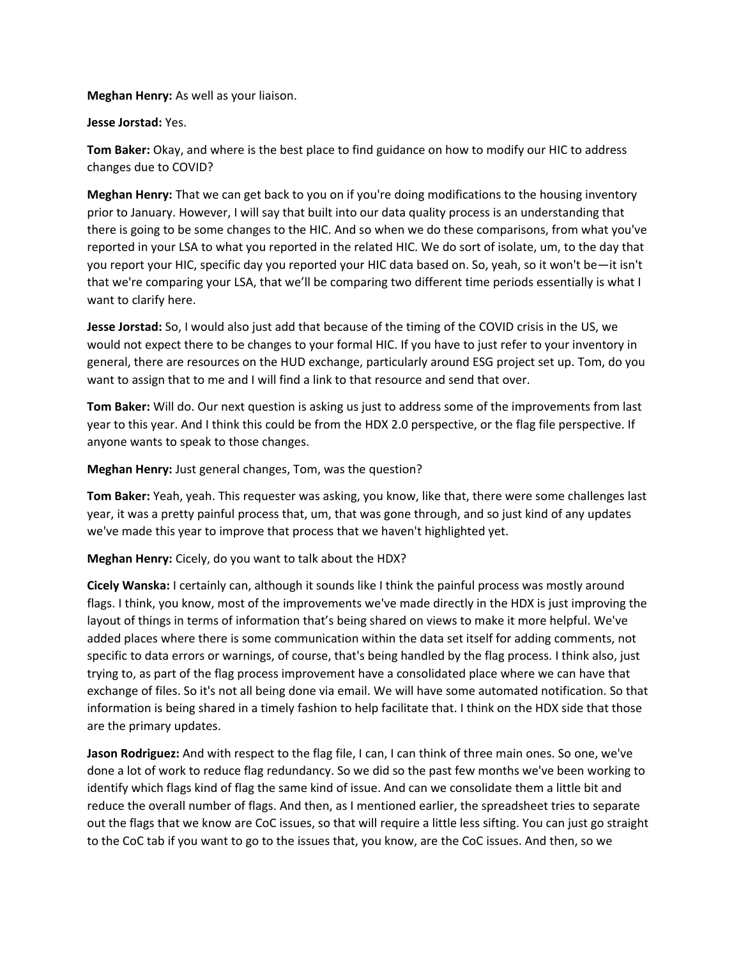**Meghan Henry:** As well as your liaison.

### **Jesse Jorstad:** Yes.

**Tom Baker:** Okay, and where is the best place to find guidance on how to modify our HIC to address changes due to COVID?

**Meghan Henry:** That we can get back to you on if you're doing modifications to the housing inventory prior to January. However, I will say that built into our data quality process is an understanding that there is going to be some changes to the HIC. And so when we do these comparisons, from what you've reported in your LSA to what you reported in the related HIC. We do sort of isolate, um, to the day that you report your HIC, specific day you reported your HIC data based on. So, yeah, so it won't be—it isn't that we're comparing your LSA, that we'll be comparing two different time periods essentially is what I want to clarify here.

**Jesse Jorstad:** So, I would also just add that because of the timing of the COVID crisis in the US, we would not expect there to be changes to your formal HIC. If you have to just refer to your inventory in general, there are resources on the HUD exchange, particularly around ESG project set up. Tom, do you want to assign that to me and I will find a link to that resource and send that over.

**Tom Baker:** Will do. Our next question is asking us just to address some of the improvements from last year to this year. And I think this could be from the HDX 2.0 perspective, or the flag file perspective. If anyone wants to speak to those changes.

### **Meghan Henry:** Just general changes, Tom, was the question?

**Tom Baker:** Yeah, yeah. This requester was asking, you know, like that, there were some challenges last year, it was a pretty painful process that, um, that was gone through, and so just kind of any updates we've made this year to improve that process that we haven't highlighted yet.

### **Meghan Henry:** Cicely, do you want to talk about the HDX?

**Cicely Wanska:** I certainly can, although it sounds like I think the painful process was mostly around flags. I think, you know, most of the improvements we've made directly in the HDX is just improving the layout of things in terms of information that's being shared on views to make it more helpful. We've added places where there is some communication within the data set itself for adding comments, not specific to data errors or warnings, of course, that's being handled by the flag process. I think also, just trying to, as part of the flag process improvement have a consolidated place where we can have that exchange of files. So it's not all being done via email. We will have some automated notification. So that information is being shared in a timely fashion to help facilitate that. I think on the HDX side that those are the primary updates.

**Jason Rodriguez:** And with respect to the flag file, I can, I can think of three main ones. So one, we've done a lot of work to reduce flag redundancy. So we did so the past few months we've been working to identify which flags kind of flag the same kind of issue. And can we consolidate them a little bit and reduce the overall number of flags. And then, as I mentioned earlier, the spreadsheet tries to separate out the flags that we know are CoC issues, so that will require a little less sifting. You can just go straight to the CoC tab if you want to go to the issues that, you know, are the CoC issues. And then, so we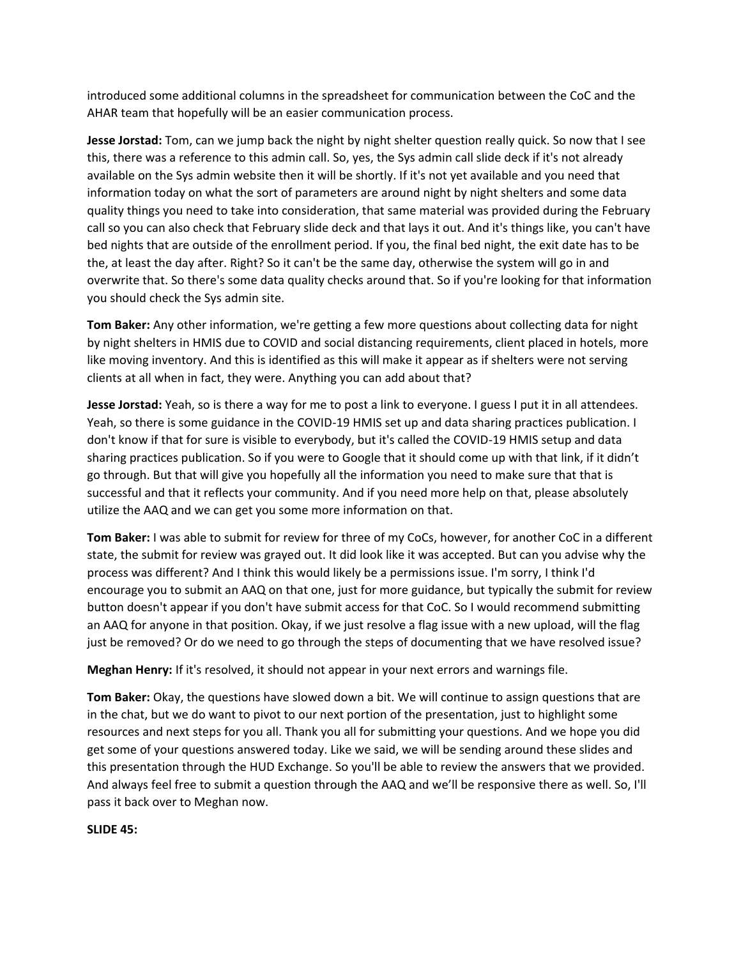introduced some additional columns in the spreadsheet for communication between the CoC and the AHAR team that hopefully will be an easier communication process.

**Jesse Jorstad:** Tom, can we jump back the night by night shelter question really quick. So now that I see this, there was a reference to this admin call. So, yes, the Sys admin call slide deck if it's not already available on the Sys admin website then it will be shortly. If it's not yet available and you need that information today on what the sort of parameters are around night by night shelters and some data quality things you need to take into consideration, that same material was provided during the February call so you can also check that February slide deck and that lays it out. And it's things like, you can't have bed nights that are outside of the enrollment period. If you, the final bed night, the exit date has to be the, at least the day after. Right? So it can't be the same day, otherwise the system will go in and overwrite that. So there's some data quality checks around that. So if you're looking for that information you should check the Sys admin site.

**Tom Baker:** Any other information, we're getting a few more questions about collecting data for night by night shelters in HMIS due to COVID and social distancing requirements, client placed in hotels, more like moving inventory. And this is identified as this will make it appear as if shelters were not serving clients at all when in fact, they were. Anything you can add about that?

**Jesse Jorstad:** Yeah, so is there a way for me to post a link to everyone. I guess I put it in all attendees. Yeah, so there is some guidance in the COVID-19 HMIS set up and data sharing practices publication. I don't know if that for sure is visible to everybody, but it's called the COVID-19 HMIS setup and data sharing practices publication. So if you were to Google that it should come up with that link, if it didn't go through. But that will give you hopefully all the information you need to make sure that that is successful and that it reflects your community. And if you need more help on that, please absolutely utilize the AAQ and we can get you some more information on that.

**Tom Baker:** I was able to submit for review for three of my CoCs, however, for another CoC in a different state, the submit for review was grayed out. It did look like it was accepted. But can you advise why the process was different? And I think this would likely be a permissions issue. I'm sorry, I think I'd encourage you to submit an AAQ on that one, just for more guidance, but typically the submit for review button doesn't appear if you don't have submit access for that CoC. So I would recommend submitting an AAQ for anyone in that position. Okay, if we just resolve a flag issue with a new upload, will the flag just be removed? Or do we need to go through the steps of documenting that we have resolved issue?

**Meghan Henry:** If it's resolved, it should not appear in your next errors and warnings file.

**Tom Baker:** Okay, the questions have slowed down a bit. We will continue to assign questions that are in the chat, but we do want to pivot to our next portion of the presentation, just to highlight some resources and next steps for you all. Thank you all for submitting your questions. And we hope you did get some of your questions answered today. Like we said, we will be sending around these slides and this presentation through the HUD Exchange. So you'll be able to review the answers that we provided. And always feel free to submit a question through the AAQ and we'll be responsive there as well. So, I'll pass it back over to Meghan now.

#### **SLIDE 45:**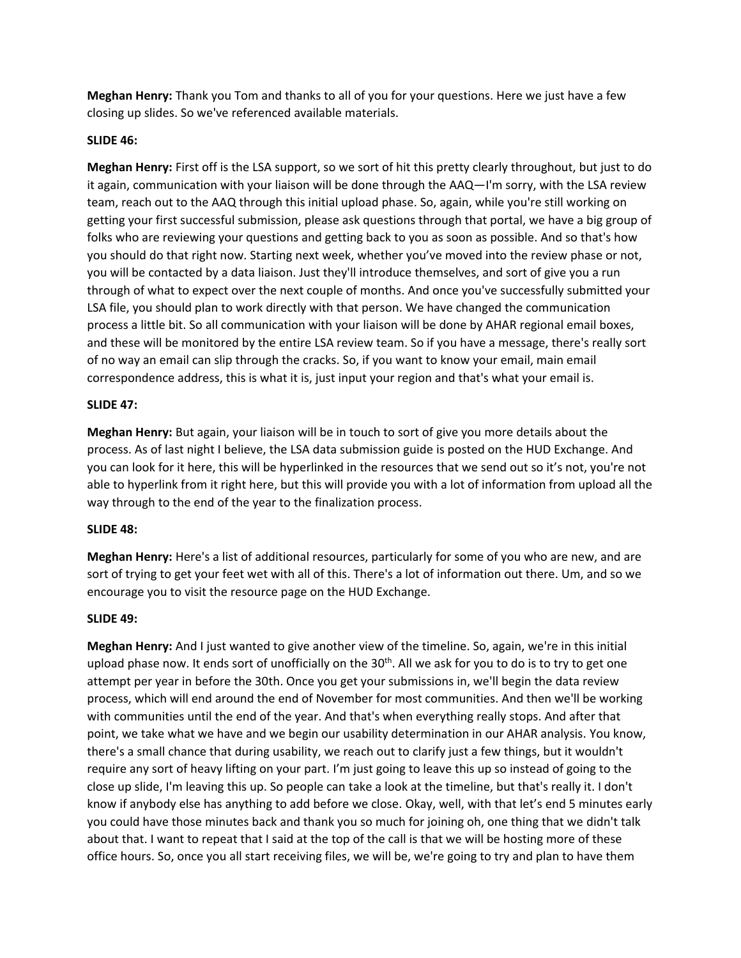**Meghan Henry:** Thank you Tom and thanks to all of you for your questions. Here we just have a few closing up slides. So we've referenced available materials.

## **SLIDE 46:**

**Meghan Henry:** First off is the LSA support, so we sort of hit this pretty clearly throughout, but just to do it again, communication with your liaison will be done through the AAQ—I'm sorry, with the LSA review team, reach out to the AAQ through this initial upload phase. So, again, while you're still working on getting your first successful submission, please ask questions through that portal, we have a big group of folks who are reviewing your questions and getting back to you as soon as possible. And so that's how you should do that right now. Starting next week, whether you've moved into the review phase or not, you will be contacted by a data liaison. Just they'll introduce themselves, and sort of give you a run through of what to expect over the next couple of months. And once you've successfully submitted your LSA file, you should plan to work directly with that person. We have changed the communication process a little bit. So all communication with your liaison will be done by AHAR regional email boxes, and these will be monitored by the entire LSA review team. So if you have a message, there's really sort of no way an email can slip through the cracks. So, if you want to know your email, main email correspondence address, this is what it is, just input your region and that's what your email is.

### **SLIDE 47:**

**Meghan Henry:** But again, your liaison will be in touch to sort of give you more details about the process. As of last night I believe, the LSA data submission guide is posted on the HUD Exchange. And you can look for it here, this will be hyperlinked in the resources that we send out so it's not, you're not able to hyperlink from it right here, but this will provide you with a lot of information from upload all the way through to the end of the year to the finalization process.

### **SLIDE 48:**

**Meghan Henry:** Here's a list of additional resources, particularly for some of you who are new, and are sort of trying to get your feet wet with all of this. There's a lot of information out there. Um, and so we encourage you to visit the resource page on the HUD Exchange.

### **SLIDE 49:**

**Meghan Henry:** And I just wanted to give another view of the timeline. So, again, we're in this initial upload phase now. It ends sort of unofficially on the 30<sup>th</sup>. All we ask for you to do is to try to get one attempt per year in before the 30th. Once you get your submissions in, we'll begin the data review process, which will end around the end of November for most communities. And then we'll be working with communities until the end of the year. And that's when everything really stops. And after that point, we take what we have and we begin our usability determination in our AHAR analysis. You know, there's a small chance that during usability, we reach out to clarify just a few things, but it wouldn't require any sort of heavy lifting on your part. I'm just going to leave this up so instead of going to the close up slide, I'm leaving this up. So people can take a look at the timeline, but that's really it. I don't know if anybody else has anything to add before we close. Okay, well, with that let's end 5 minutes early you could have those minutes back and thank you so much for joining oh, one thing that we didn't talk about that. I want to repeat that I said at the top of the call is that we will be hosting more of these office hours. So, once you all start receiving files, we will be, we're going to try and plan to have them